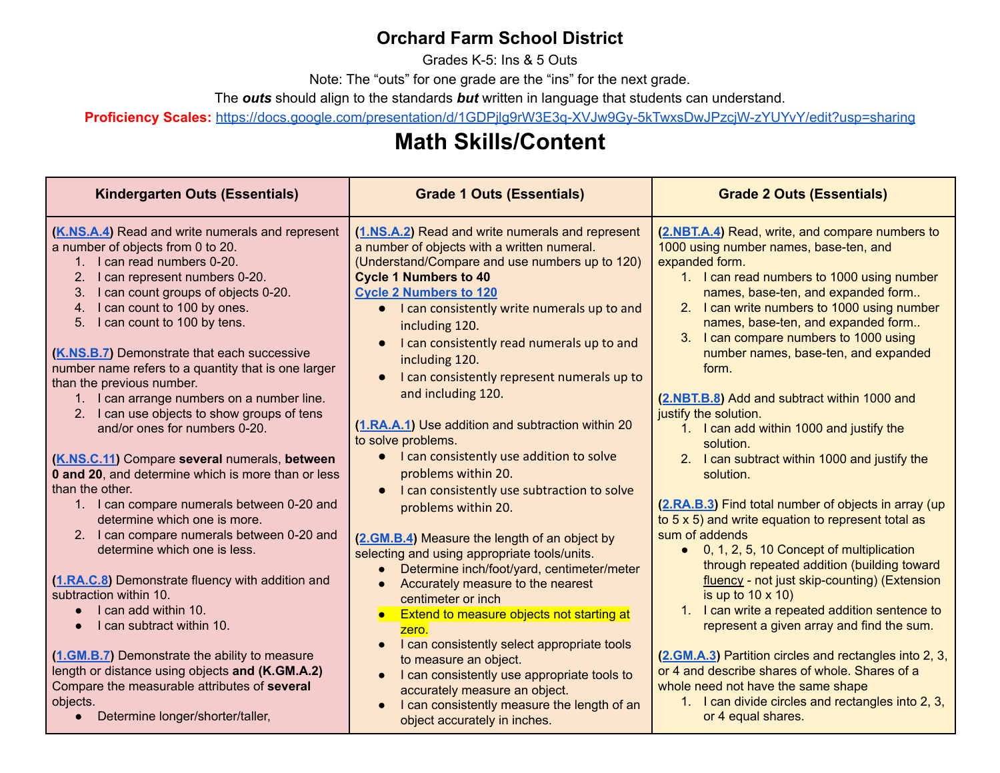# **Orchard Farm School District**

Grades K-5: Ins & 5 Outs

Note: The "outs" for one grade are the "ins" for the next grade.

The *outs* should align to the standards *but* written in language that students can understand.

**Proficiency Scales:** <https://docs.google.com/presentation/d/1GDPjlg9rW3E3q-XVJw9Gy-5kTwxsDwJPzcjW-zYUYvY/edit?usp=sharing>

# **Math Skills/Content**

| <b>Kindergarten Outs (Essentials)</b>                                                                                                                                                                                                                                                                                                                                                                                                                                                                                                                                                                                                                                                                                                                                                                                                                                                                                                                                  | <b>Grade 2 Outs (Essentials)</b><br><b>Grade 1 Outs (Essentials)</b>                                                                                                                                                                                                                                                                                                                                                                                                                                                                                                                                                                                                                                                                                                                                                                                                                                                                                                              |                                                                                                                                                                                                                                                                                                                                                                                                                                                                                                                                                                                                                                                                                                                                                                                                                                                                                                                                                                                         |
|------------------------------------------------------------------------------------------------------------------------------------------------------------------------------------------------------------------------------------------------------------------------------------------------------------------------------------------------------------------------------------------------------------------------------------------------------------------------------------------------------------------------------------------------------------------------------------------------------------------------------------------------------------------------------------------------------------------------------------------------------------------------------------------------------------------------------------------------------------------------------------------------------------------------------------------------------------------------|-----------------------------------------------------------------------------------------------------------------------------------------------------------------------------------------------------------------------------------------------------------------------------------------------------------------------------------------------------------------------------------------------------------------------------------------------------------------------------------------------------------------------------------------------------------------------------------------------------------------------------------------------------------------------------------------------------------------------------------------------------------------------------------------------------------------------------------------------------------------------------------------------------------------------------------------------------------------------------------|-----------------------------------------------------------------------------------------------------------------------------------------------------------------------------------------------------------------------------------------------------------------------------------------------------------------------------------------------------------------------------------------------------------------------------------------------------------------------------------------------------------------------------------------------------------------------------------------------------------------------------------------------------------------------------------------------------------------------------------------------------------------------------------------------------------------------------------------------------------------------------------------------------------------------------------------------------------------------------------------|
| (K.NS.A.4) Read and write numerals and represent<br>a number of objects from 0 to 20.<br>1. I can read numbers 0-20.<br>2.<br>I can represent numbers 0-20.<br>I can count groups of objects 0-20.<br>3.<br>4. I can count to 100 by ones.<br>5. I can count to 100 by tens.<br>(K.NS.B.7) Demonstrate that each successive<br>number name refers to a quantity that is one larger<br>than the previous number.<br>1. I can arrange numbers on a number line.<br>2. I can use objects to show groups of tens<br>and/or ones for numbers 0-20.<br>(K.NS.C.11) Compare several numerals, between<br>0 and 20, and determine which is more than or less<br>than the other.<br>1. I can compare numerals between 0-20 and<br>determine which one is more.<br>2. I can compare numerals between 0-20 and<br>determine which one is less.<br>(1.RA.C.8) Demonstrate fluency with addition and<br>subtraction within 10.<br>I can add within 10.<br>I can subtract within 10. | (1.NS.A.2) Read and write numerals and represent<br>a number of objects with a written numeral.<br>(Understand/Compare and use numbers up to 120)<br><b>Cycle 1 Numbers to 40</b><br><b>Cycle 2 Numbers to 120</b><br>I can consistently write numerals up to and<br>including 120.<br>I can consistently read numerals up to and<br>$\bullet$<br>including 120.<br>I can consistently represent numerals up to<br>$\bullet$<br>and including 120.<br>(1.RA.A.1) Use addition and subtraction within 20<br>to solve problems.<br>I can consistently use addition to solve<br>$\bullet$<br>problems within 20.<br>I can consistently use subtraction to solve<br>$\bullet$<br>problems within 20.<br>(2.GM.B.4) Measure the length of an object by<br>selecting and using appropriate tools/units.<br>Determine inch/foot/yard, centimeter/meter<br>Accurately measure to the nearest<br>$\bullet$<br>centimeter or inch<br>Extend to measure objects not starting at<br>$\bullet$ | (2.NBT.A.4) Read, write, and compare numbers to<br>1000 using number names, base-ten, and<br>expanded form.<br>1. I can read numbers to 1000 using number<br>names, base-ten, and expanded form<br>2. I can write numbers to 1000 using number<br>names, base-ten, and expanded form<br>3. I can compare numbers to 1000 using<br>number names, base-ten, and expanded<br>form.<br>(2.NBT.B.8) Add and subtract within 1000 and<br>justify the solution.<br>1. I can add within 1000 and justify the<br>solution.<br>2. I can subtract within 1000 and justify the<br>solution.<br>(2.RA.B.3) Find total number of objects in array (up<br>to 5 x 5) and write equation to represent total as<br>sum of addends<br>• 0, 1, 2, 5, 10 Concept of multiplication<br>through repeated addition (building toward<br>fluency - not just skip-counting) (Extension<br>is up to $10 \times 10$ )<br>1. I can write a repeated addition sentence to<br>represent a given array and find the sum. |
| (1.GM.B.7) Demonstrate the ability to measure<br>length or distance using objects and (K.GM.A.2)<br>Compare the measurable attributes of several<br>objects.<br>Determine longer/shorter/taller,                                                                                                                                                                                                                                                                                                                                                                                                                                                                                                                                                                                                                                                                                                                                                                       | zero.<br>I can consistently select appropriate tools<br>$\bullet$<br>to measure an object.<br>I can consistently use appropriate tools to<br>$\bullet$<br>accurately measure an object.<br>I can consistently measure the length of an<br>object accurately in inches.                                                                                                                                                                                                                                                                                                                                                                                                                                                                                                                                                                                                                                                                                                            | (2.GM.A.3) Partition circles and rectangles into 2, 3,<br>or 4 and describe shares of whole. Shares of a<br>whole need not have the same shape<br>1. I can divide circles and rectangles into 2, 3,<br>or 4 equal shares.                                                                                                                                                                                                                                                                                                                                                                                                                                                                                                                                                                                                                                                                                                                                                               |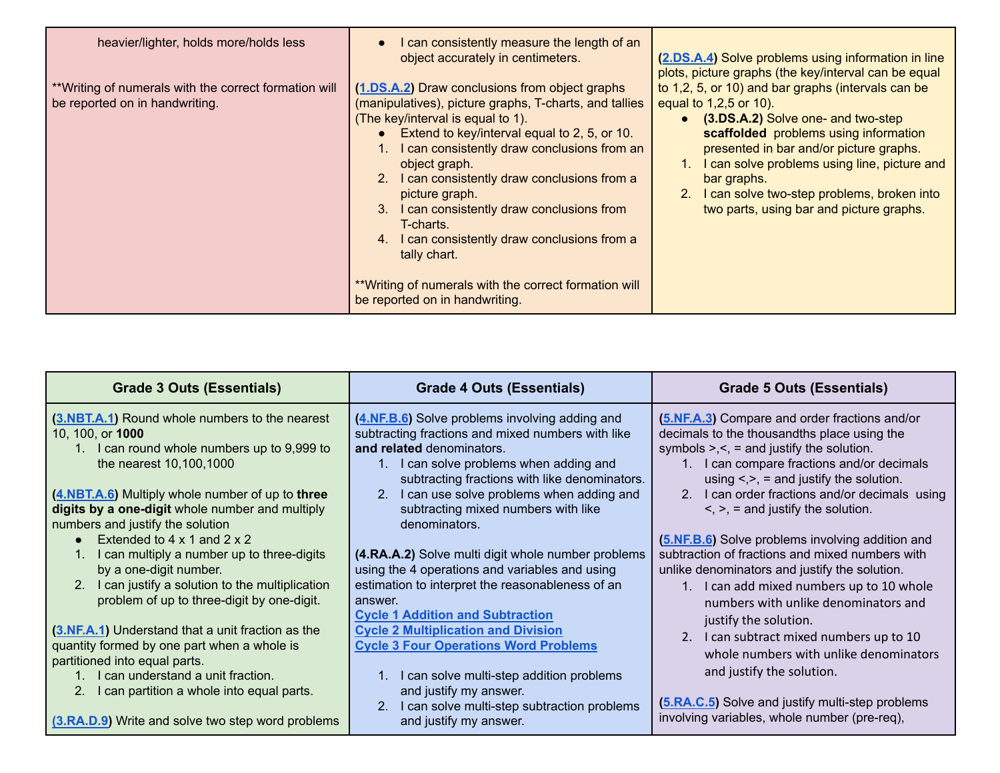| heavier/lighter, holds more/holds less                                                   | I can consistently measure the length of an<br>$\bullet$<br>object accurately in centimeters.                                                                                                                                                                                                                                                                                                                                                                                                                                           | (2.DS.A.4) Solve problems using information in line<br>plots, picture graphs (the key/interval can be equal                                                                                                                                                                                                                                                             |
|------------------------------------------------------------------------------------------|-----------------------------------------------------------------------------------------------------------------------------------------------------------------------------------------------------------------------------------------------------------------------------------------------------------------------------------------------------------------------------------------------------------------------------------------------------------------------------------------------------------------------------------------|-------------------------------------------------------------------------------------------------------------------------------------------------------------------------------------------------------------------------------------------------------------------------------------------------------------------------------------------------------------------------|
| ** Writing of numerals with the correct formation will<br>be reported on in handwriting. | (1.DS.A.2) Draw conclusions from object graphs<br>(manipulatives), picture graphs, T-charts, and tallies<br>(The key/interval is equal to 1).<br>Extend to key/interval equal to 2, 5, or 10.<br>$\bullet$<br>1. I can consistently draw conclusions from an<br>object graph.<br>2. I can consistently draw conclusions from a<br>picture graph.<br>3. I can consistently draw conclusions from<br>T-charts.<br>4. I can consistently draw conclusions from a<br>tally chart.<br>** Writing of numerals with the correct formation will | to 1,2, 5, or 10) and bar graphs (intervals can be<br>equal to 1,2,5 or 10).<br>• (3.DS.A.2) Solve one- and two-step<br>scaffolded problems using information<br>presented in bar and/or picture graphs.<br>1. I can solve problems using line, picture and<br>bar graphs.<br>2. I can solve two-step problems, broken into<br>two parts, using bar and picture graphs. |
|                                                                                          | be reported on in handwriting.                                                                                                                                                                                                                                                                                                                                                                                                                                                                                                          |                                                                                                                                                                                                                                                                                                                                                                         |

| Grade 3 Outs (Essentials)                                                                                                                                                                                            | <b>Grade 4 Outs (Essentials)</b>                                                                                                                                                                                             | Grade 5 Outs (Essentials)                                                                                                                                                                                                                            |
|----------------------------------------------------------------------------------------------------------------------------------------------------------------------------------------------------------------------|------------------------------------------------------------------------------------------------------------------------------------------------------------------------------------------------------------------------------|------------------------------------------------------------------------------------------------------------------------------------------------------------------------------------------------------------------------------------------------------|
| (3.NBT.A.1) Round whole numbers to the nearest<br>10, 100, or <b>1000</b><br>1. I can round whole numbers up to 9,999 to<br>the nearest 10,100,1000                                                                  | (4.NF.B.6) Solve problems involving adding and<br>subtracting fractions and mixed numbers with like<br>and related denominators.<br>1. I can solve problems when adding and<br>subtracting fractions with like denominators. | (5.NF.A.3) Compare and order fractions and/or<br>decimals to the thousandths place using the<br>symbols $\geq, \leq$ = and justify the solution.<br>1. I can compare fractions and/or decimals<br>using $\leq, \geq, \leq$ and justify the solution. |
| (4.NBT.A.6) Multiply whole number of up to three<br>digits by a one-digit whole number and multiply<br>numbers and justify the solution                                                                              | I can use solve problems when adding and<br>subtracting mixed numbers with like<br>denominators.                                                                                                                             | 2. I can order fractions and/or decimals using<br>$\leq$ , $\geq$ , = and justify the solution.                                                                                                                                                      |
| Extended to $4 \times 1$ and $2 \times 2$<br>I can multiply a number up to three-digits<br>by a one-digit number.<br>2. I can justify a solution to the multiplication<br>problem of up to three-digit by one-digit. | (4.RA.A.2) Solve multi digit whole number problems<br>using the 4 operations and variables and using<br>estimation to interpret the reasonableness of an<br>answer.                                                          | (5.NF.B.6) Solve problems involving addition and<br>subtraction of fractions and mixed numbers with<br>unlike denominators and justify the solution.<br>1. I can add mixed numbers up to 10 whole<br>numbers with unlike denominators and            |
| (3.NF.A.1) Understand that a unit fraction as the<br>quantity formed by one part when a whole is<br>partitioned into equal parts.<br>I can understand a unit fraction.                                               | <b>Cycle 1 Addition and Subtraction</b><br><b>Cycle 2 Multiplication and Division</b><br><b>Cycle 3 Four Operations Word Problems</b><br>I can solve multi-step addition problems                                            | justify the solution.<br>2. I can subtract mixed numbers up to 10<br>whole numbers with unlike denominators<br>and justify the solution.                                                                                                             |
| 2. I can partition a whole into equal parts.<br>(3.RA.D.9) Write and solve two step word problems                                                                                                                    | and justify my answer.<br>I can solve multi-step subtraction problems<br>2.<br>and justify my answer.                                                                                                                        | (5.RA.C.5) Solve and justify multi-step problems<br>involving variables, whole number (pre-req),                                                                                                                                                     |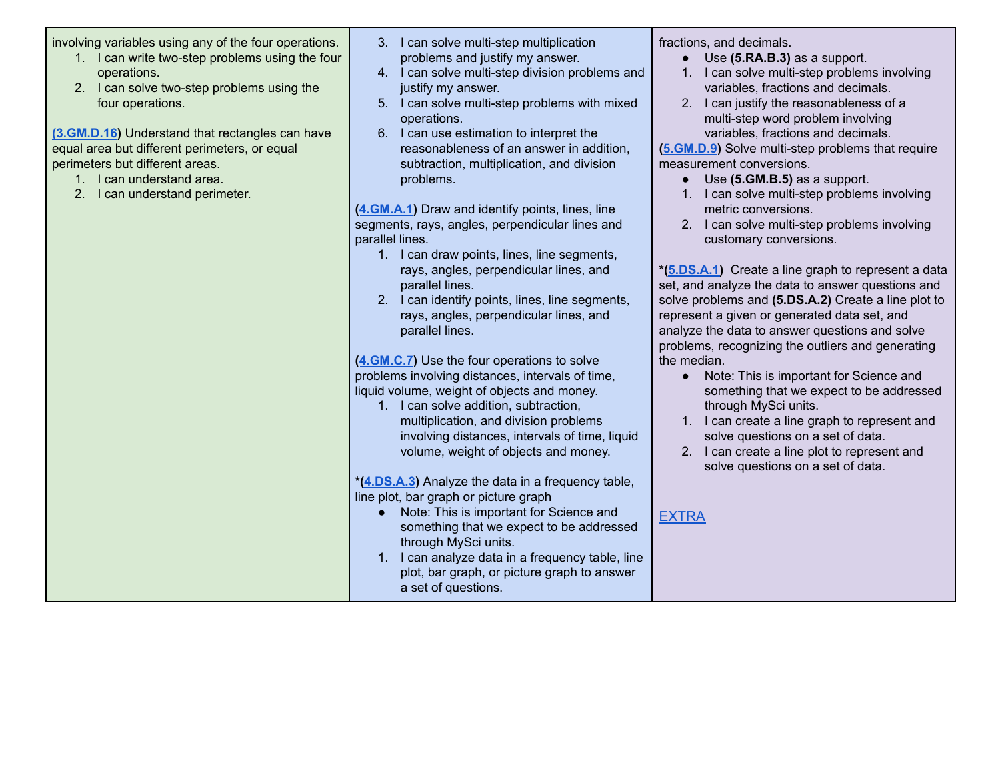involving variables using any of the four operations.

- 1. I can write two-step problems using the four operations.
- 2. I can solve two-step problems using the four operations.

**[\(3.GM.D.16\)](https://docs.google.com/document/d/1UcSJjkvNiDWb-mqJ-q4Chc-FPWHPncTE-A9lCWPFGlE/edit?usp=sharing)** Understand that rectangles can have equal area but different perimeters, or equal perimeters but different areas.

- 1. I can understand area.
- 2. I can understand perimeter.
- 3. I can solve multi-step multiplication problems and justify my answer.
- 4. I can solve multi-step division problems and justify my answer.
- 5. I can solve multi-step problems with mixed operations.
- 6. I can use estimation to interpret the reasonableness of an answer in addition, subtraction, multiplication, and division problems.

**([4.GM.A.1](https://docs.google.com/document/d/1YVh8WgMbMQj9smLb3i8WSnAYQj1A7mRbNXfglNisRDA/edit?usp=sharing))** Draw and identify points, lines, line segments, rays, angles, perpendicular lines and parallel lines.

- 1. I can draw points, lines, line segments, rays, angles, perpendicular lines, and parallel lines.
- 2. I can identify points, lines, line segments, rays, angles, perpendicular lines, and parallel lines.

**([4.GM.C.7](https://docs.google.com/document/d/1Zx_fZOOKiMA-RV9bt_fcgvPq6UleCBHNKhDe4Y1VZxc/edit?usp=sharing))** Use the four operations to solve problems involving distances, intervals of time, liquid volume, weight of objects and money.

1. I can solve addition, subtraction, multiplication, and division problems involving distances, intervals of time, liquid volume, weight of objects and money.

**\*[\(4.DS.A.3](https://docs.google.com/document/d/1a15E91AJqmbOYkJQ1m_JOVsdGVjESnts4otG0PiPrzs/edit?usp=sharing))** Analyze the data in a frequency table, line plot, bar graph or picture graph

- Note: This is important for Science and something that we expect to be addressed through MySci units.
- 1. I can analyze data in a frequency table, line plot, bar graph, or picture graph to answer a set of questions.

fractions, and decimals.

- Use **(5.RA.B.3)** as a support.
- 1. I can solve multi-step problems involving variables, fractions and decimals.
- 2. I can justify the reasonableness of a multi-step word problem involving variables, fractions and decimals.

**[\(5.GM.D.9](https://docs.google.com/document/d/1ezHy2x1-s1f_u3q26T4oHQDC-oDQEo7mm-Xo59VLtPc/edit?usp=sharing))** Solve multi-step problems that require measurement conversions.

- Use **(5.GM.B.5)** as a support.
- 1. I can solve multi-step problems involving metric conversions.
- 2. I can solve multi-step problems involving customary conversions.

**\*[\(5.DS.A.1\)](https://docs.google.com/document/d/1f755ArxSMF4k6bPUbAO4mM2bYamnv1i8NJ5HEweh2gE/edit?usp=sharing)** Create a line graph to represent a data set, and analyze the data to answer questions and solve problems and **(5.DS.A.2)** Create a line plot to represent a given or generated data set, and analyze the data to answer questions and solve problems, recognizing the outliers and generating the median.

- Note: This is important for Science and something that we expect to be addressed through MySci units.
- 1. I can create a line graph to represent and solve questions on a set of data.
- 2. I can create a line plot to represent and solve questions on a set of data.

[EXTRA](https://docs.google.com/document/d/1xVW0OAvsfhtbIYFTGrJ-8tXi9VoJBbEu4u3aLjng6VQ/edit?usp=sharing)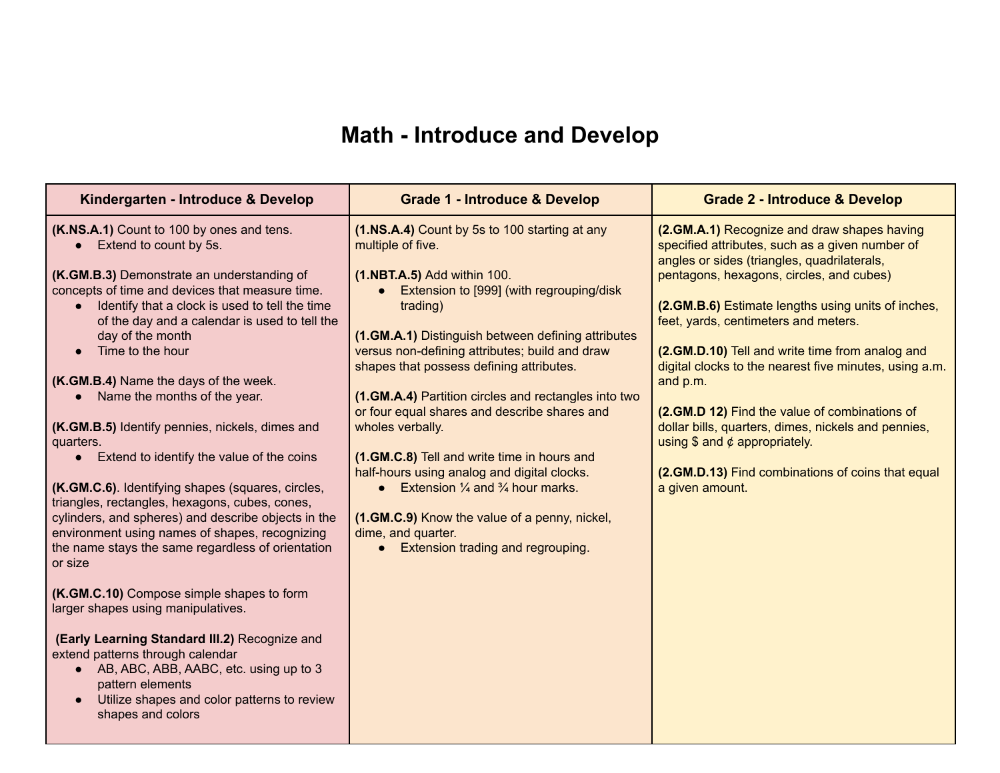# **Math - Introduce and Develop**

| Kindergarten - Introduce & Develop                                                                                                                                                                                                                                                                                                                                                                                                                                                                                                                                                                                                                                                                                                                                                                                                                                                                                                                                                                                                                                                                               | <b>Grade 1 - Introduce &amp; Develop</b>                                                                                                                                                                                                                                                                                                                                                                                                                                                                                                                                                                                                                                                                     | <b>Grade 2 - Introduce &amp; Develop</b>                                                                                                                                                                                                                                                                                                                                                                                                                                                                                                                                                                                            |
|------------------------------------------------------------------------------------------------------------------------------------------------------------------------------------------------------------------------------------------------------------------------------------------------------------------------------------------------------------------------------------------------------------------------------------------------------------------------------------------------------------------------------------------------------------------------------------------------------------------------------------------------------------------------------------------------------------------------------------------------------------------------------------------------------------------------------------------------------------------------------------------------------------------------------------------------------------------------------------------------------------------------------------------------------------------------------------------------------------------|--------------------------------------------------------------------------------------------------------------------------------------------------------------------------------------------------------------------------------------------------------------------------------------------------------------------------------------------------------------------------------------------------------------------------------------------------------------------------------------------------------------------------------------------------------------------------------------------------------------------------------------------------------------------------------------------------------------|-------------------------------------------------------------------------------------------------------------------------------------------------------------------------------------------------------------------------------------------------------------------------------------------------------------------------------------------------------------------------------------------------------------------------------------------------------------------------------------------------------------------------------------------------------------------------------------------------------------------------------------|
| (K.NS.A.1) Count to 100 by ones and tens.<br>Extend to count by 5s.<br>(K.GM.B.3) Demonstrate an understanding of<br>concepts of time and devices that measure time.<br>Identify that a clock is used to tell the time<br>of the day and a calendar is used to tell the<br>day of the month<br>Time to the hour<br>(K.GM.B.4) Name the days of the week.<br>Name the months of the year.<br>(K.GM.B.5) Identify pennies, nickels, dimes and<br>quarters.<br>• Extend to identify the value of the coins<br>(K.GM.C.6). Identifying shapes (squares, circles,<br>triangles, rectangles, hexagons, cubes, cones,<br>cylinders, and spheres) and describe objects in the<br>environment using names of shapes, recognizing<br>the name stays the same regardless of orientation<br>or size<br>(K.GM.C.10) Compose simple shapes to form<br>larger shapes using manipulatives.<br>(Early Learning Standard III.2) Recognize and<br>extend patterns through calendar<br>• AB, ABC, ABB, AABC, etc. using up to 3<br>pattern elements<br>Utilize shapes and color patterns to review<br>$\bullet$<br>shapes and colors | (1.NS.A.4) Count by 5s to 100 starting at any<br>multiple of five.<br>(1.NBT.A.5) Add within 100.<br>Extension to [999] (with regrouping/disk<br>trading)<br>(1.GM.A.1) Distinguish between defining attributes<br>versus non-defining attributes; build and draw<br>shapes that possess defining attributes.<br>(1.GM.A.4) Partition circles and rectangles into two<br>or four equal shares and describe shares and<br>wholes verbally.<br>(1.GM.C.8) Tell and write time in hours and<br>half-hours using analog and digital clocks.<br>Extension $\frac{1}{4}$ and $\frac{3}{4}$ hour marks.<br>(1.GM.C.9) Know the value of a penny, nickel,<br>dime, and quarter.<br>Extension trading and regrouping. | (2.GM.A.1) Recognize and draw shapes having<br>specified attributes, such as a given number of<br>angles or sides (triangles, quadrilaterals,<br>pentagons, hexagons, circles, and cubes)<br>(2.GM.B.6) Estimate lengths using units of inches,<br>feet, yards, centimeters and meters.<br>(2.GM.D.10) Tell and write time from analog and<br>digital clocks to the nearest five minutes, using a.m.<br>and p.m.<br>(2.GM.D 12) Find the value of combinations of<br>dollar bills, quarters, dimes, nickels and pennies,<br>using \$ and $¢$ appropriately.<br>(2.GM.D.13) Find combinations of coins that equal<br>a given amount. |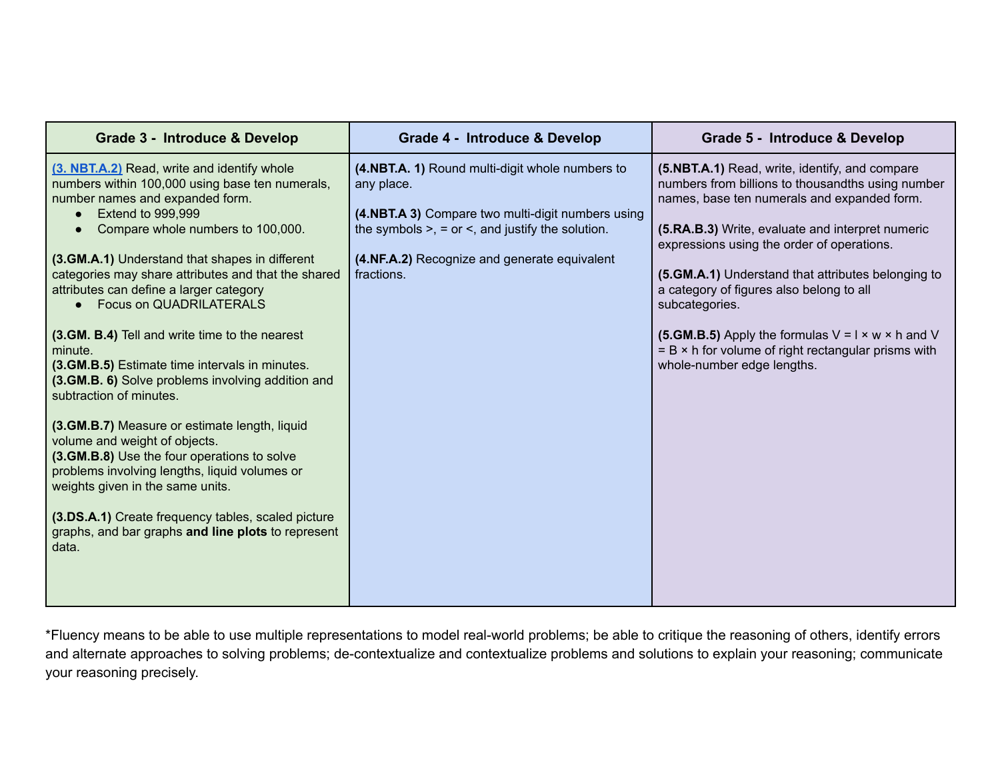| Grade 3 - Introduce & Develop                                                                                                                                                                                                                                                                                                                                                                                                                                                                                                                                                                                                                                                                                                                                                                                                                                                                                                      | Grade 4 - Introduce & Develop                                                                                                                                                                                                           | Grade 5 - Introduce & Develop                                                                                                                                                                                                                                                                                                                                                                                                                                                                                                         |
|------------------------------------------------------------------------------------------------------------------------------------------------------------------------------------------------------------------------------------------------------------------------------------------------------------------------------------------------------------------------------------------------------------------------------------------------------------------------------------------------------------------------------------------------------------------------------------------------------------------------------------------------------------------------------------------------------------------------------------------------------------------------------------------------------------------------------------------------------------------------------------------------------------------------------------|-----------------------------------------------------------------------------------------------------------------------------------------------------------------------------------------------------------------------------------------|---------------------------------------------------------------------------------------------------------------------------------------------------------------------------------------------------------------------------------------------------------------------------------------------------------------------------------------------------------------------------------------------------------------------------------------------------------------------------------------------------------------------------------------|
| (3. NBT.A.2) Read, write and identify whole<br>numbers within 100,000 using base ten numerals,<br>number names and expanded form.<br><b>Extend to 999,999</b><br>Compare whole numbers to 100,000.<br>(3.GM.A.1) Understand that shapes in different<br>categories may share attributes and that the shared<br>attributes can define a larger category<br><b>Focus on QUADRILATERALS</b><br>(3.GM. B.4) Tell and write time to the nearest<br>minute.<br>(3.GM.B.5) Estimate time intervals in minutes.<br>(3.GM.B. 6) Solve problems involving addition and<br>subtraction of minutes.<br>(3.GM.B.7) Measure or estimate length, liquid<br>volume and weight of objects.<br>(3.GM.B.8) Use the four operations to solve<br>problems involving lengths, liquid volumes or<br>weights given in the same units.<br>(3.DS.A.1) Create frequency tables, scaled picture<br>graphs, and bar graphs and line plots to represent<br>data. | (4.NBT.A. 1) Round multi-digit whole numbers to<br>any place.<br>(4.NBT.A 3) Compare two multi-digit numbers using<br>the symbols $>$ , = or <, and justify the solution.<br>(4.NF.A.2) Recognize and generate equivalent<br>fractions. | (5.NBT.A.1) Read, write, identify, and compare<br>numbers from billions to thousandths using number<br>names, base ten numerals and expanded form.<br>(5.RA.B.3) Write, evaluate and interpret numeric<br>expressions using the order of operations.<br>(5.GM.A.1) Understand that attributes belonging to<br>a category of figures also belong to all<br>subcategories.<br>(5.GM.B.5) Apply the formulas $V = I \times w \times h$ and V<br>$= B \times h$ for volume of right rectangular prisms with<br>whole-number edge lengths. |

\*Fluency means to be able to use multiple representations to model real-world problems; be able to critique the reasoning of others, identify errors and alternate approaches to solving problems; de-contextualize and contextualize problems and solutions to explain your reasoning; communicate your reasoning precisely.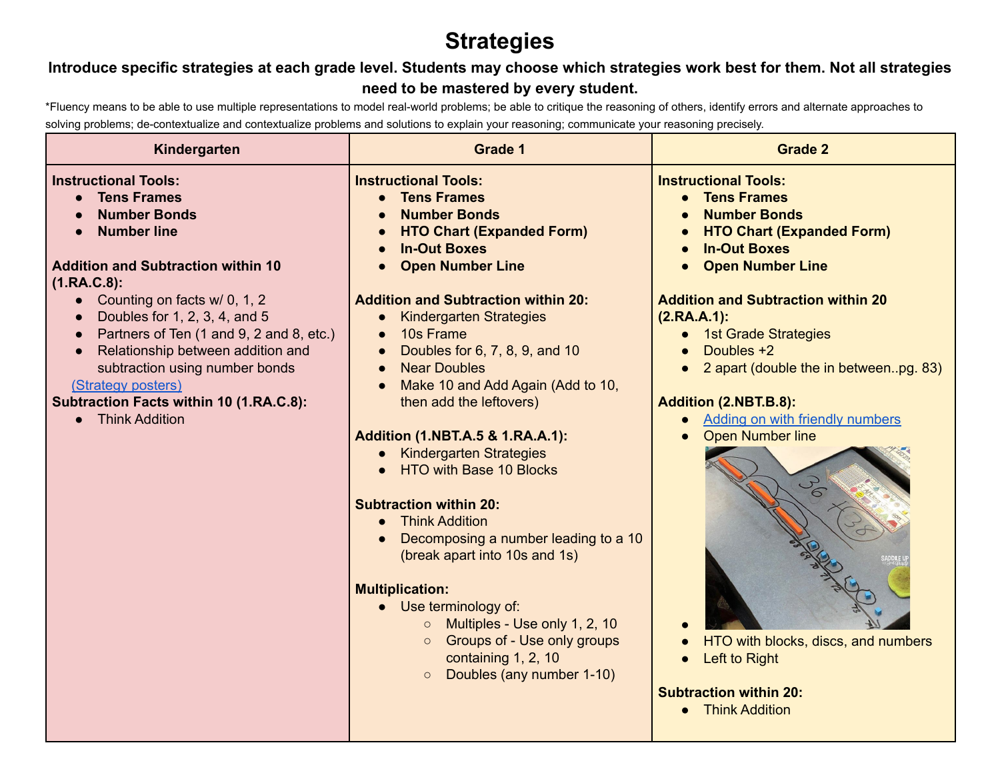# **Strategies**

## **Introduce specific strategies at each grade level. Students may choose which strategies work best for them. Not all strategies need to be mastered by every student.**

\*Fluency means to be able to use multiple representations to model real-world problems; be able to critique the reasoning of others, identify errors and alternate approaches to solving problems; de-contextualize and contextualize problems and solutions to explain your reasoning; communicate your reasoning precisely.

| Kindergarten                                                                                                                                                                                                                                                               | <b>Grade 1</b>                                                                                                                                                                                                                                                                                                                                                                                                                                                                                                                                                                                                                                                                                                     | <b>Grade 2</b>                                                                                                                                                                                                                                                                                                                                                                                                         |
|----------------------------------------------------------------------------------------------------------------------------------------------------------------------------------------------------------------------------------------------------------------------------|--------------------------------------------------------------------------------------------------------------------------------------------------------------------------------------------------------------------------------------------------------------------------------------------------------------------------------------------------------------------------------------------------------------------------------------------------------------------------------------------------------------------------------------------------------------------------------------------------------------------------------------------------------------------------------------------------------------------|------------------------------------------------------------------------------------------------------------------------------------------------------------------------------------------------------------------------------------------------------------------------------------------------------------------------------------------------------------------------------------------------------------------------|
| <b>Instructional Tools:</b><br><b>Tens Frames</b><br><b>Number Bonds</b><br><b>Number line</b><br><b>Addition and Subtraction within 10</b><br>$(1.RA.C.8)$ :                                                                                                              | <b>Instructional Tools:</b><br><b>Tens Frames</b><br><b>Number Bonds</b><br><b>HTO Chart (Expanded Form)</b><br><b>In-Out Boxes</b><br><b>Open Number Line</b>                                                                                                                                                                                                                                                                                                                                                                                                                                                                                                                                                     | <b>Instructional Tools:</b><br><b>Tens Frames</b><br><b>Number Bonds</b><br><b>HTO Chart (Expanded Form)</b><br><b>In-Out Boxes</b><br><b>Open Number Line</b><br>$\bullet$                                                                                                                                                                                                                                            |
| • Counting on facts $w/ 0$ , 1, 2<br>Doubles for 1, 2, 3, 4, and 5<br>Partners of Ten (1 and 9, 2 and 8, etc.)<br>Relationship between addition and<br>subtraction using number bonds<br>(Strategy posters)<br>Subtraction Facts within 10 (1.RA.C.8):<br>• Think Addition | <b>Addition and Subtraction within 20:</b><br><b>Kindergarten Strategies</b><br>10s Frame<br>$\bullet$<br>Doubles for 6, 7, 8, 9, and 10<br>$\bullet$<br><b>Near Doubles</b><br>$\bullet$<br>Make 10 and Add Again (Add to 10,<br>$\bullet$<br>then add the leftovers)<br><b>Addition (1.NBT.A.5 &amp; 1.RA.A.1):</b><br><b>Kindergarten Strategies</b><br>HTO with Base 10 Blocks<br><b>Subtraction within 20:</b><br><b>Think Addition</b><br>Decomposing a number leading to a 10<br>$\bullet$<br>(break apart into 10s and 1s)<br><b>Multiplication:</b><br>Use terminology of:<br>Multiples - Use only 1, 2, 10<br>Groups of - Use only groups<br>containing 1, 2, 10<br>Doubles (any number 1-10)<br>$\circ$ | <b>Addition and Subtraction within 20</b><br>$(2.RA.A.1)$ :<br>1st Grade Strategies<br>Doubles +2<br>$\bullet$<br>2 apart (double the in betweenpg. 83)<br><b>Addition (2.NBT.B.8):</b><br>• Adding on with friendly numbers<br><b>Open Number line</b><br>$\bullet$<br>09<br>HTO with blocks, discs, and numbers<br>Left to Right<br>$\bullet$<br><b>Subtraction within 20:</b><br><b>Think Addition</b><br>$\bullet$ |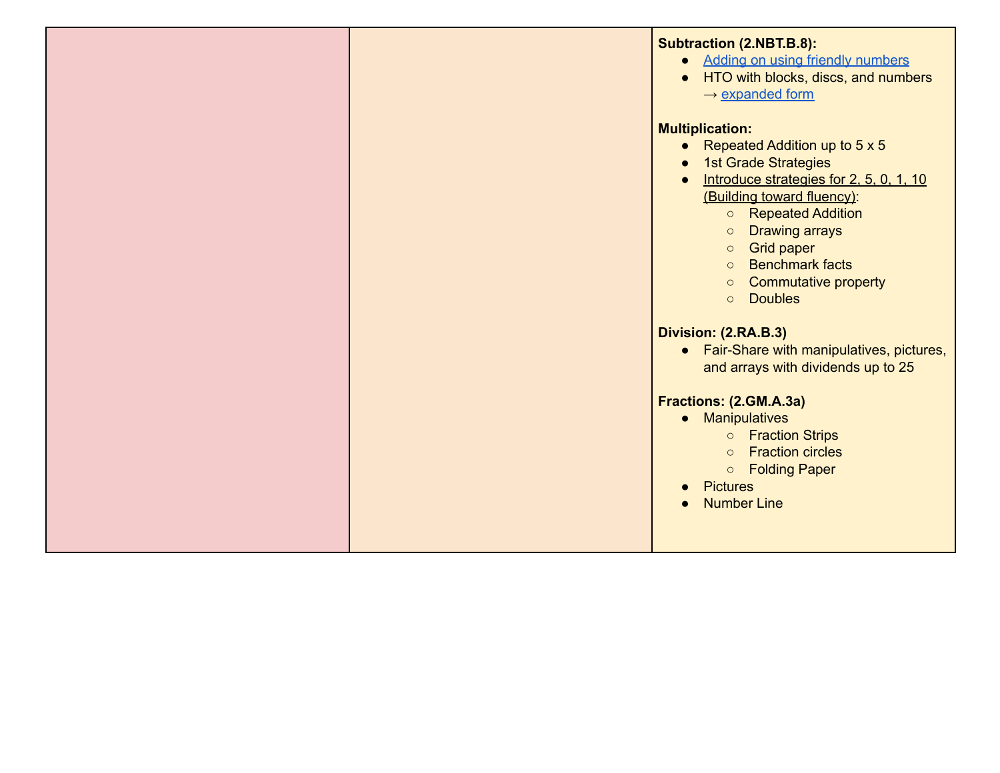|  | <b>Subtraction (2.NBT.B.8):</b><br>• Adding on using friendly numbers<br>HTO with blocks, discs, and numbers<br>$\rightarrow$ expanded form                                                                                                                                                                                                                                            |
|--|----------------------------------------------------------------------------------------------------------------------------------------------------------------------------------------------------------------------------------------------------------------------------------------------------------------------------------------------------------------------------------------|
|  | <b>Multiplication:</b><br>• Repeated Addition up to $5 \times 5$<br><b>1st Grade Strategies</b><br>Introduce strategies for 2, 5, 0, 1, 10<br>(Building toward fluency):<br><b>O</b> Repeated Addition<br><b>Drawing arrays</b><br>$\circ$<br><b>Grid paper</b><br>$\circ$<br><b>Benchmark facts</b><br>$\circ$<br><b>Commutative property</b><br>$\circ$<br><b>Doubles</b><br>$\circ$ |
|  | Division: (2.RA.B.3)<br>• Fair-Share with manipulatives, pictures,<br>and arrays with dividends up to 25<br>Fractions: (2.GM.A.3a)<br><b>Manipulatives</b><br>$\bullet$<br><b>o</b> Fraction Strips<br><b>Fraction circles</b><br>$\circ$<br>○ Folding Paper<br><b>Pictures</b><br><b>Number Line</b>                                                                                  |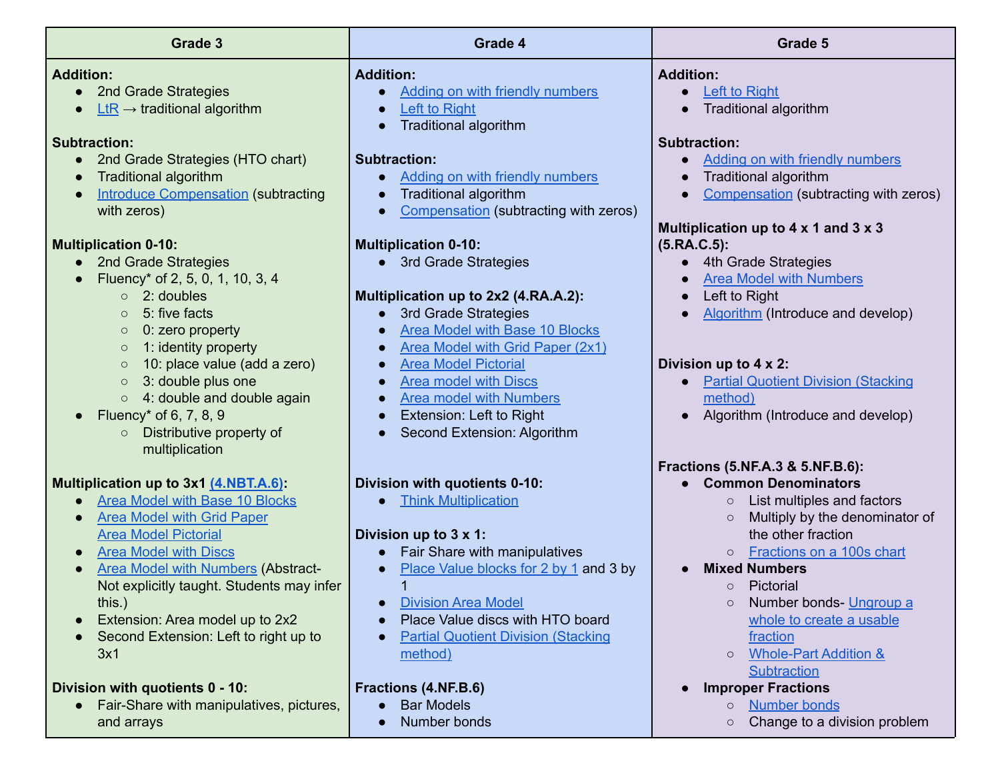| <b>Grade 3</b>                                                                                                                                                                                                                                                                                                                                                                                                                | Grade 4                                                                                                                                                                                                                                                                                                                                                                     | Grade 5                                                                                                                                                                                                                                                                                                                                                                                                                                            |
|-------------------------------------------------------------------------------------------------------------------------------------------------------------------------------------------------------------------------------------------------------------------------------------------------------------------------------------------------------------------------------------------------------------------------------|-----------------------------------------------------------------------------------------------------------------------------------------------------------------------------------------------------------------------------------------------------------------------------------------------------------------------------------------------------------------------------|----------------------------------------------------------------------------------------------------------------------------------------------------------------------------------------------------------------------------------------------------------------------------------------------------------------------------------------------------------------------------------------------------------------------------------------------------|
| <b>Addition:</b><br>• 2nd Grade Strategies<br>$LtR \rightarrow$ traditional algorithm<br><b>Subtraction:</b><br>2nd Grade Strategies (HTO chart)<br>$\bullet$<br><b>Traditional algorithm</b><br><b>Introduce Compensation (subtracting</b><br>with zeros)                                                                                                                                                                    | <b>Addition:</b><br><b>Adding on with friendly numbers</b><br>Left to Right<br><b>Traditional algorithm</b><br>$\bullet$<br><b>Subtraction:</b><br>Adding on with friendly numbers<br><b>Traditional algorithm</b><br>$\bullet$<br>Compensation (subtracting with zeros)<br>$\bullet$                                                                                       | <b>Addition:</b><br><b>Left to Right</b><br><b>Traditional algorithm</b><br><b>Subtraction:</b><br>Adding on with friendly numbers<br>$\bullet$<br>Traditional algorithm<br>Compensation (subtracting with zeros)<br>$\bullet$<br>Multiplication up to 4 x 1 and 3 x 3                                                                                                                                                                             |
| <b>Multiplication 0-10:</b><br>2nd Grade Strategies<br>$\bullet$<br>Fluency* of 2, 5, 0, 1, 10, 3, 4<br>$\circ$ 2: doubles<br>5: five facts<br>$\circ$<br>0: zero property<br>$\circ$<br>1: identity property<br>$\circ$<br>10: place value (add a zero)<br>$\circ$<br>3: double plus one<br>$\circ$<br>$\circ$ 4: double and double again<br>Fluency* of 6, 7, 8, 9<br>Distributive property of<br>$\circ$<br>multiplication | <b>Multiplication 0-10:</b><br>• 3rd Grade Strategies<br>Multiplication up to 2x2 (4.RA.A.2):<br>3rd Grade Strategies<br><b>Area Model with Base 10 Blocks</b><br>Area Model with Grid Paper (2x1)<br><b>Area Model Pictorial</b><br><b>Area model with Discs</b><br><b>Area model with Numbers</b><br>$\bullet$<br>Extension: Left to Right<br>Second Extension: Algorithm | $(5.RA.C.5)$ :<br>4th Grade Strategies<br>$\bullet$<br><b>Area Model with Numbers</b><br>Left to Right<br>$\bullet$<br>Algorithm (Introduce and develop)<br>$\bullet$<br>Division up to 4 x 2:<br><b>Partial Quotient Division (Stacking</b><br>$\bullet$<br>method)<br>Algorithm (Introduce and develop)                                                                                                                                          |
| Multiplication up to 3x1 (4.NBT.A.6):<br><b>Area Model with Base 10 Blocks</b><br><b>Area Model with Grid Paper</b><br><b>Area Model Pictorial</b><br><b>Area Model with Discs</b><br><b>Area Model with Numbers (Abstract-</b><br>Not explicitly taught. Students may infer<br>this.)<br>Extension: Area model up to 2x2<br>Second Extension: Left to right up to<br>3x1<br>Division with quotients 0 - 10:                  | Division with quotients 0-10:<br><b>Think Multiplication</b><br>Division up to 3 x 1:<br>Fair Share with manipulatives<br>Place Value blocks for 2 by 1 and 3 by<br><b>Division Area Model</b><br>Place Value discs with HTO board<br><b>Partial Quotient Division (Stacking</b><br>method)<br>Fractions (4.NF.B.6)                                                         | Fractions (5.NF.A.3 & 5.NF.B.6):<br><b>Common Denominators</b><br>List multiples and factors<br>$\circ$<br>Multiply by the denominator of<br>$\circ$<br>the other fraction<br>Fractions on a 100s chart<br>$\circ$<br><b>Mixed Numbers</b><br>Pictorial<br>$\circ$<br>Number bonds- Ungroup a<br>$\circ$<br>whole to create a usable<br>fraction<br><b>Whole-Part Addition &amp;</b><br>$\circ$<br><b>Subtraction</b><br><b>Improper Fractions</b> |
| Fair-Share with manipulatives, pictures,<br>and arrays                                                                                                                                                                                                                                                                                                                                                                        | <b>Bar Models</b><br>Number bonds                                                                                                                                                                                                                                                                                                                                           | <b>Number bonds</b><br>$\circ$<br>Change to a division problem<br>$\circ$                                                                                                                                                                                                                                                                                                                                                                          |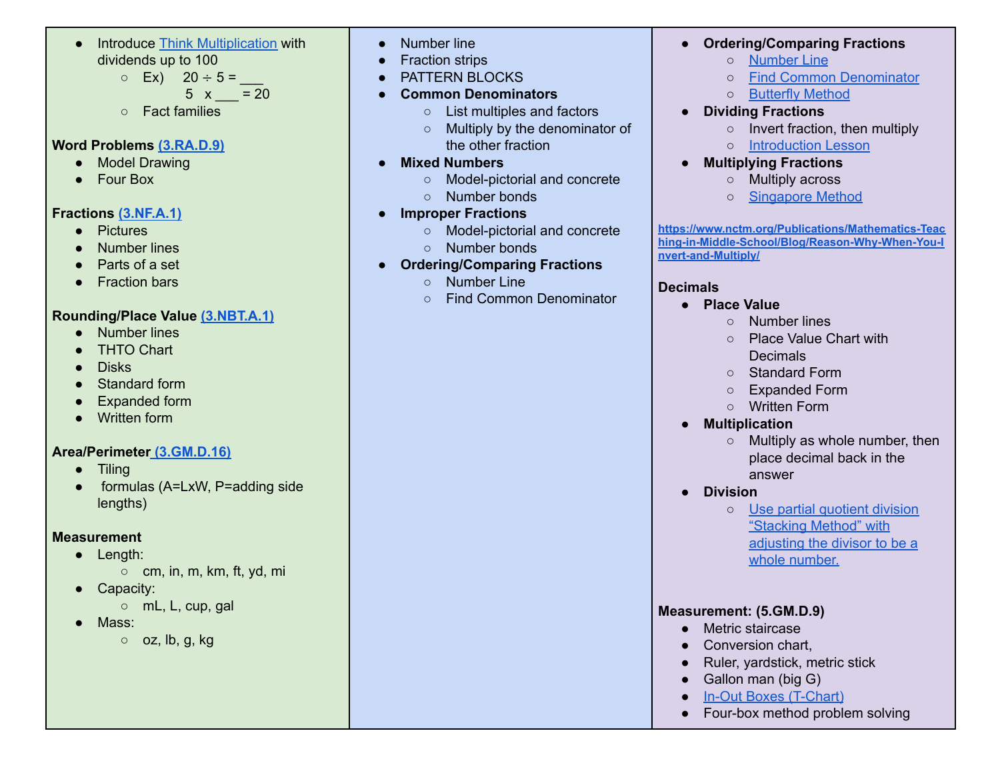● Introduce Think [Multiplication](https://youtu.be/ZCpYHDCATLo) with dividends up to 100

 $\circ$  Ex)  $20 \div 5 =$ 

- $5 \times = 20$
- Fact families

#### **Word Problems [\(3.RA.D.9\)](https://drive.google.com/drive/folders/1hEZdo0cPczzd3Zb7l6LSgrUEdl9j2uv-?usp=sharing)**

- Model Drawing
- Four Box

#### **Fractions [\(3.NF.A.1\)](https://drive.google.com/drive/folders/1cHqi3SZVHjopd4zjLYR_SkufFkKR06nF?usp=sharing)**

- Pictures
- Number lines
- Parts of a set
- Fraction bars

### **Rounding/Place Value [\(3.NBT.A.1\)](https://drive.google.com/drive/folders/1VfQvSyJj0eOGbBnDt3V6_gTQP2nKYo6Z?usp=sharing)**

- Number lines
- THTO Chart
- **Disks**
- Standard form
- Expanded form
- Written form

#### **Area/Perimeter [\(3.GM.D.16\)](https://drive.google.com/drive/folders/1cHqi3SZVHjopd4zjLYR_SkufFkKR06nF?usp=sharing)**

- Tiling
- formulas (A=LxW, P=adding side lengths)

#### **Measurement**

- Length:
	- cm, in, m, km, ft, yd, mi
- Capacity:
	- mL, L, cup, gal
- Mass:
	- $\circ$  oz, lb, g, kg
- Number line
- Fraction strips
- PATTERN BLOCKS
- **● Common Denominators**
	- List multiples and factors
	- Multiply by the denominator of the other fraction
- **● Mixed Numbers**
	- Model-pictorial and concrete
	- Number bonds
- **● Improper Fractions**
	- Model-pictorial and concrete
	- Number bonds
- **● Ordering/Comparing Fractions**
	- Number Line
	- Find Common Denominator

### **● Ordering/Comparing Fractions**

- [Number](https://drive.google.com/open?id=1dxvHGlAGz602ZkM_utTQMqWpGwQuo-lN) Line
- Find Common [Denominator](https://drive.google.com/open?id=1ryupCKpLKBlP6_sfNcRLQeQ8mi8PP4n2)
- [Butterfly](https://drive.google.com/open?id=1Mm72T90VuY_r3_Rhrnd5JJIv-Lv7r9Ns) Method
- **● Dividing Fractions**
	- **○** Invert fraction, then multiply
	- [Introduction](http://www.teachingwithamountainview.com/2013/04/dividing-fractions-anchor-chart-game.html) Lesson
- **Multiplying Fractions**
	- Multiply across
	- o [Singapore](https://www.youtube.com/watch?v=cbq-WP0mKeE) Method

**[https://www.nctm.org/Publications/Mathematics-Teac](https://www.nctm.org/Publications/Mathematics-Teaching-in-Middle-School/Blog/Reason-Why-When-You-Invert-and-Multiply/) [hing-in-Middle-School/Blog/Reason-Why-When-You-I](https://www.nctm.org/Publications/Mathematics-Teaching-in-Middle-School/Blog/Reason-Why-When-You-Invert-and-Multiply/) [nvert-and-Multiply/](https://www.nctm.org/Publications/Mathematics-Teaching-in-Middle-School/Blog/Reason-Why-When-You-Invert-and-Multiply/)**

### **Decimals**

- **● Place Value**
	- Number lines
	- Place Value Chart with Decimals
	- Standard Form
	- Expanded Form
	- Written Form
- **● Multiplication**
	- $\circ$  Multiply as whole number, then place decimal back in the answer
- **● Division**
	- **○** Use partial [quotient](https://www.khanacademy.org/math/cc-sixth-grade-math/cc-6th-arithmetic-operations/cc-6th-dividing-decimals/v/dividing-decimals-completely) division ["Stacking](https://www.khanacademy.org/math/cc-sixth-grade-math/cc-6th-arithmetic-operations/cc-6th-dividing-decimals/v/dividing-decimals-completely) Method" with [adjusting](https://www.khanacademy.org/math/cc-sixth-grade-math/cc-6th-arithmetic-operations/cc-6th-dividing-decimals/v/dividing-decimals-completely) the divisor to be a whole [number.](https://www.khanacademy.org/math/cc-sixth-grade-math/cc-6th-arithmetic-operations/cc-6th-dividing-decimals/v/dividing-decimals-completely)

### **Measurement: (5.GM.D.9)**

- Metric staircase
- Conversion chart.
- Ruler, yardstick, metric stick
- Gallon man (big G)
- In-Out Boxes [\(T-Chart\)](https://drive.google.com/open?id=1KuvptPcrHM1H-c50ee0J3vTJ03ymQgqZ)
- Four-box method problem solving